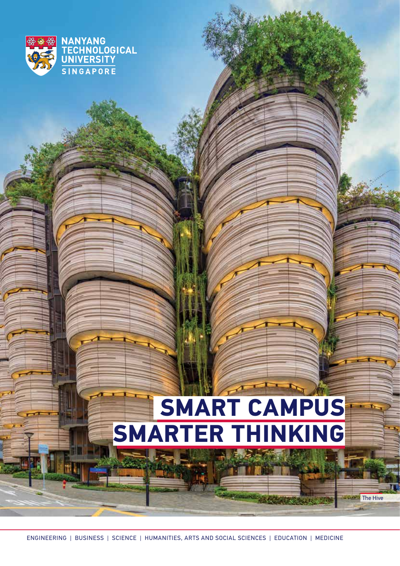

# **SMART CAMPUS SMARTER THINKING**

 $\blacksquare$  The Hive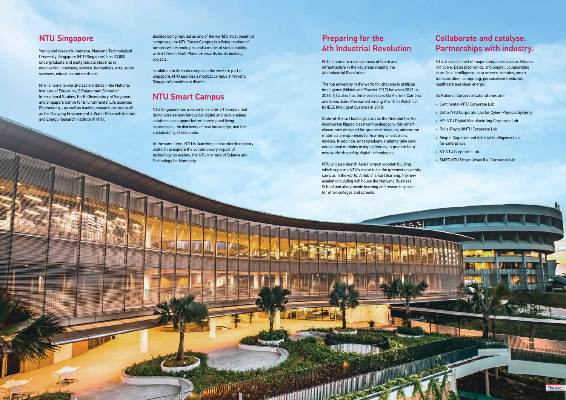# Collaborate and catalyse. Partnerships with industry.

NTU attracts a host of major companies such as Alibaba, HP, Volvo, Delta Electronics, and Singtel, collaborating in artificial intelligence, data science, robotics, smart transportation, computing, personalised medicine, healthcare and clean energy.

Its National Corporate Laboratories are:

- » Continental-NTU Corporate Lab
- » Delta-NTU Corporate Lab for Cyber-Physical Systems
- » HP-NTU Digital Manufacturing Corporate Lab
- » Rolls-Royce@NTU Corporate Lab
- » Singtel Cognitive and Artificial Intelligence Lab for Enterprises
- » SJ-NTU Corporate Lab
- » SMRT-NTU Smart Urban Rail Corporate Lab

# Preparing for the 4th Industrial Revolution

NTU is home to a critical mass of talent and infrastructure in the key areas shaping the 4th Industrial Revolution.

The top university in the world for citations in artificial intelligence (Nikkei and Elsevier 2017) between 2012 to 2016, NTU also has three professors Bo An, Erik Cambria and Sinno Jialin Pan named among AI's 10 to Watch list by IEEE Intelligent Systems in 2018.

State-of-the-art buildings such as the Hive and the Arc incorporate flipped classroom pedagogy within smart classrooms designed for greater interaction, and course materials are optimised for learning on electronic devices. In addition, undergraduate students take core educational modules in digital literacy to prepare for a new world shaped by digital technologies.

NTU will also launch Asia's largest wooden building which supports NTU's vision to be the greenest university campus in the world. A hub of smart learning, the new academic building will house the Nanyang Business School and also provide learning and research spaces for other colleges and schools.

**ANTIONAL** 

### NTU Singapore

 $\lnot$  Feb

Young and research-intensive, Nanyang Technological University, Singapore (NTU Singapore) has 33,000 undergraduate and postgraduate students in engineering, business, science, humanities, arts, social sciences, education and medicine.

NTU is home to world-class institutes – the National Institute of Education, S Rajaratnam School of International Studies, Earth Observatory of Singapore, and Singapore Centre for Environmental Life Sciences Engineering – as well as leading research centres such as the Nanyang Environment & Water Research Institute and Energy Research Institute @ NTU.

Besides being reputed as one of the world's most beautiful campuses, the NTU Smart Campus is a living testbed of tomorrow's technologies and a model of sustainability, with 61 Green Mark Platinum awards for its building projects.

In addition to its main campus in the western part of Singapore, NTU also has a medical campus in Novena, Singapore's healthcare district.

## NTU Smart Campus

NTU Singapore has a vision to be a Smart Campus that demonstrates how innovative digital and tech-enabled solutions can support better learning and living experiences, the discovery of new knowledge, and the sustainability of resources.

At the same time, NTU is launching a new interdisciplinary platform to explore the contemporary impact of technology on society, the NTU Institute of Science and Technology for Humanity.